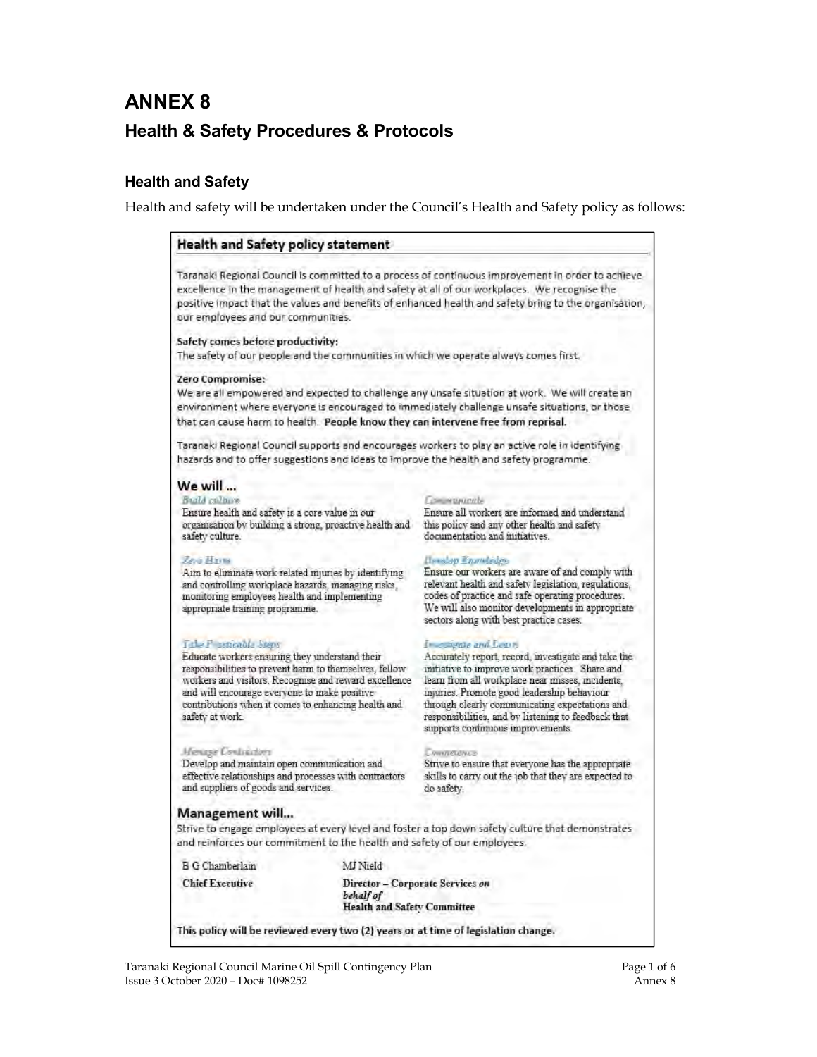# **ANNEX 8 Health & Safety Procedures & Protocols**

### **Health and Safety**

Health and safety will be undertaken under the Council's Health and Safety policy as follows:

### **Health and Safety policy statement**

Taranaki Regional Council is committed to a process of continuous improvement in order to achieve excellence in the management of health and safety at all of our workplaces. We recognise the positive impact that the values and benefits of enhanced health and safety bring to the organisation, our employees and our communities.

### Safety comes before productivity:

The safety of our people and the communities in which we operate always comes first.

### **Zero Compromise:**

We are all empowered and expected to challenge any unsafe situation at work. We will create an environment where everyone is encouraged to immediately challenge unsafe situations, or those that can cause harm to health. People know they can intervene free from reprisal.

Taranaki Regional Council supports and encourages workers to play an active role in identifying hazards and to offer suggestions and ideas to improve the health and safety programme.

### We will ...

Build colours Ensure health and safety is a core value in our organisation by building a strong, proactive health and safety culture.

### **Zevi Harm**

Aim to eliminate work related injuries by identifying and controlling workplace hazards, managing risks, monitoring employees health and implementing appropriate training programme.

### Tale F sencable Steps

Educate workers ensuring they understand their responsibilities to prevent harm to themselves, fellow workers and visitors. Recognise and reward excellence and will encourage everyone to make positive contributions when it comes to enhancing health and safety at work.

### Mexico Contractors

Develop and maintain open communication and effective relationships and processes with contractors and suppliers of goods and services.

#### Communicatio

Ensure all workers are informed and understand this policy and any other health and safety documentation and mitiatives.

### **Hership Engineers**

Ensure our workers are aware of and comply with relevant health and safety legislation, regulations, codes of practice and safe operating procedures. We will also monitor developments in appropriate sectors along with best practice cases.

### In compase and Learn

Accurately report, record, investigate and take the initiative to improve work practices. Share and learn from all workplace near misses, incidents. injuries. Promote good leadership behaviour through clearly communicating expectations and responsibilities, and by listening to feedback that supports continuous improvements.

#### **Commerginus**

Strive to ensure that everyone has the appropriate skills to carry out the job that they are expected to do safety.

### Management will...

Strive to engage employees at every level and foster a top down safety culture that demonstrates and reinforces our commitment to the health and safety of our employees.

**B G Chamberlain** 

MJ Nield

**Chief Executive** 

Director - Corporate Services on behalf of **Health and Safety Committee** 

This policy will be reviewed every two (2) years or at time of legislation change.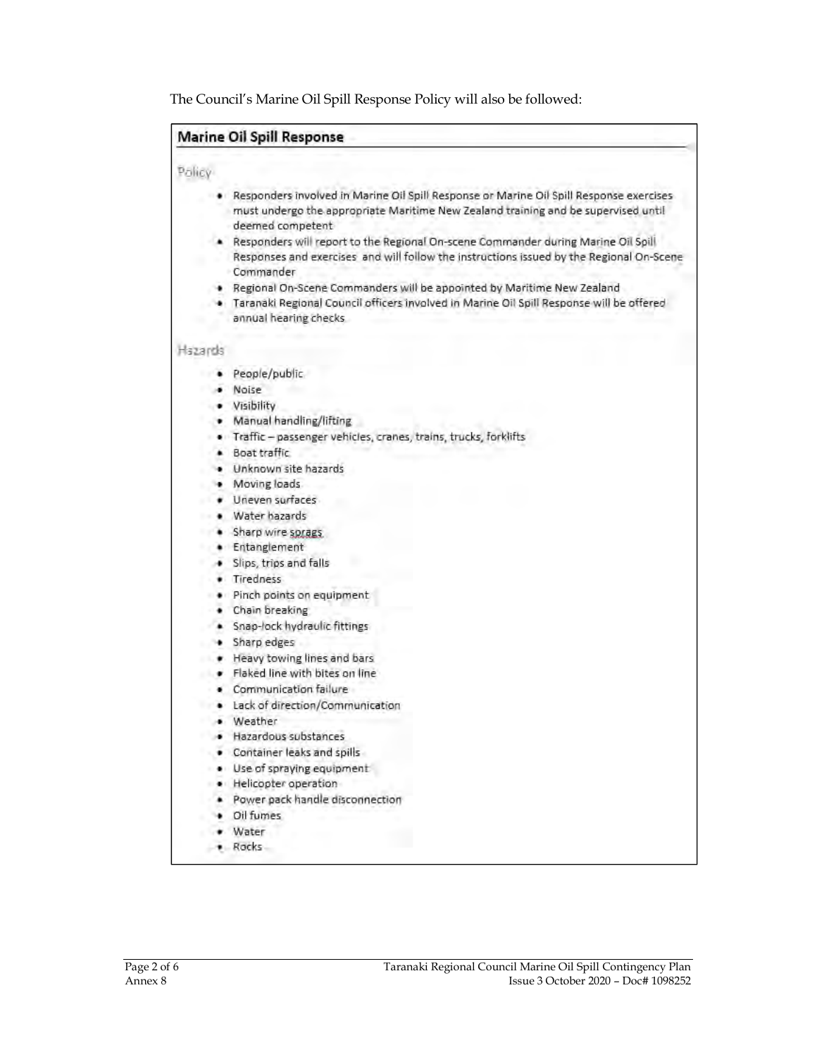The Council's Marine Oil Spill Response Policy will also be followed:

### **Marine Oil Spill Response**

### Policy

- Responders involved in Marine Oil Spill Response or Marine Oil Spill Response exercises ٠ must undergo the appropriate Maritime New Zealand training and be supervised until deemed competent
- Responders will report to the Regional On-scene Commander during Marine Oil Spill Responses and exercises and will follow the instructions issued by the Regional On-Scene Commander
- . Regional On-Scene Commanders will be appointed by Maritime New Zealand
- · Taranaki Regional Council officers involved in Marine Oil Spill Response will be offered annual hearing checks.

### Hazards

- People/public  $\ddot{\phantom{1}}$
- · Noise
- · Visibility
- Manual handling/lifting
- · Traffic passenger vehicles, cranes, trains, trucks, forklifts
- · Boat traffic.
- · Unknown site hazards
- · Moving loads
- Uneven surfaces .
- · Water hazards
- · Sharp wire sprags.
- · Entanglement
- · Slips, trips and falls
- · Tiredness
- · Pinch points on equipment
- Chain breaking
- · Snap-lock hydraulic fittings
- · Sharp edges
- Heavy towing lines and bars
- · Flaked line with bites on line
- · Communication failure
- · Lack of direction/Communication
- · Weather
- · Hazardous substances
- Container leaks and spills
- · Use of spraying equipment
- · Helicopter operation
- Power pack handle disconnection
- · Oil fumes
- · Water
- \* Rocks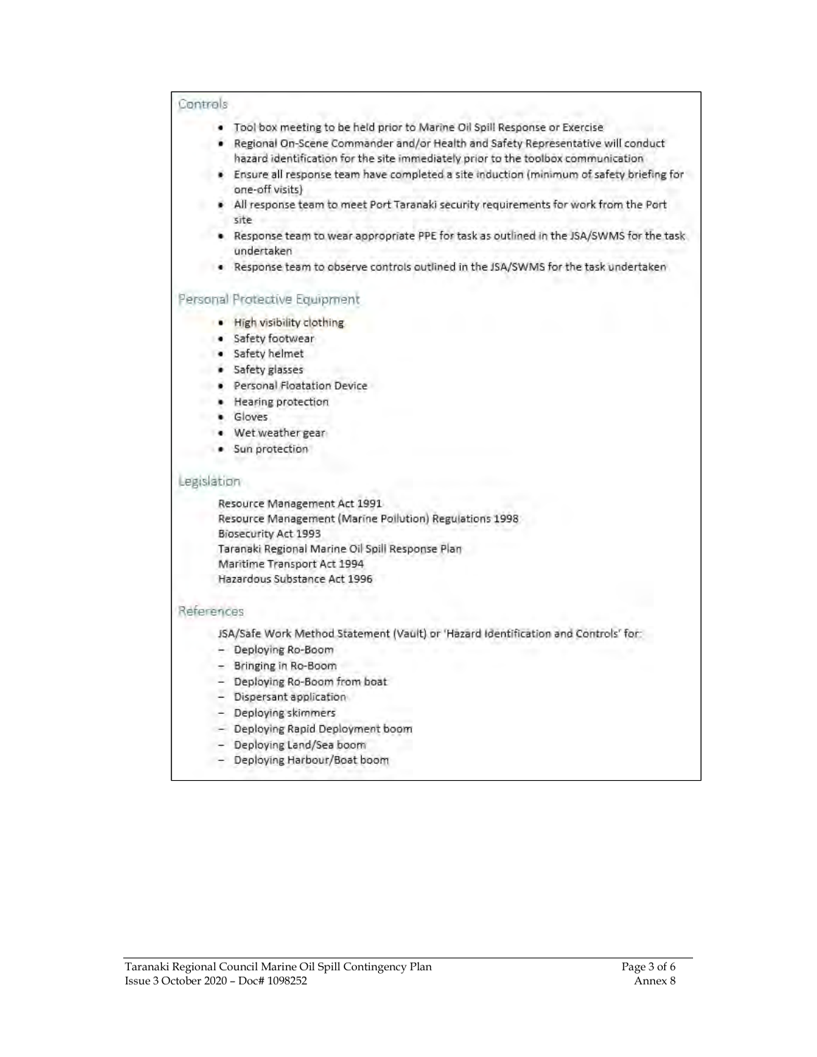### Controls

- . Tool box meeting to be held prior to Marine Oil Spill Response or Exercise
- · Regional On-Scene Commander and/or Health and Safety Representative will conduct hazard identification for the site immediately prior to the toolbox communication
- · Ensure all response team have completed a site induction (minimum of safety briefing for one-off visits)
- All response team to meet Port Taranaki security requirements for work from the Port site
- . Response team to wear appropriate PPE for task as outlined in the JSA/SWMS for the task undertaken
- . Response team to observe controls outlined in the JSA/SWMS for the task undertaken

### Personal Protective Equipment

- · High visibility clothing
- · Safety footwear
- · Safety helmet
- · Safety glasses
- · Personal Floatation Device
- · Hearing protection
- · Gloves
- · Wet weather gear
- · Sun protection

### Legislation

Resource Management Act 1991 Resource Management (Marine Pollution) Regulations 1998 Biosecurity Act 1993 Taranaki Regional Marine Oil Spill Response Plan Maritime Transport Act 1994 Hazardous Substance Act 1996

### References

JSA/Safe Work Method Statement (Vault) or 'Hazard Identification and Controls' for:

- Deploying Ro-Boom
- Bringing in Ro-Boom
- Deploying Ro-Boom from boat
- Dispersant application
- Deploying skimmers
- Deploying Rapid Deployment boom
- Deploying Land/Sea boom
- Deploying Harbour/Boat boom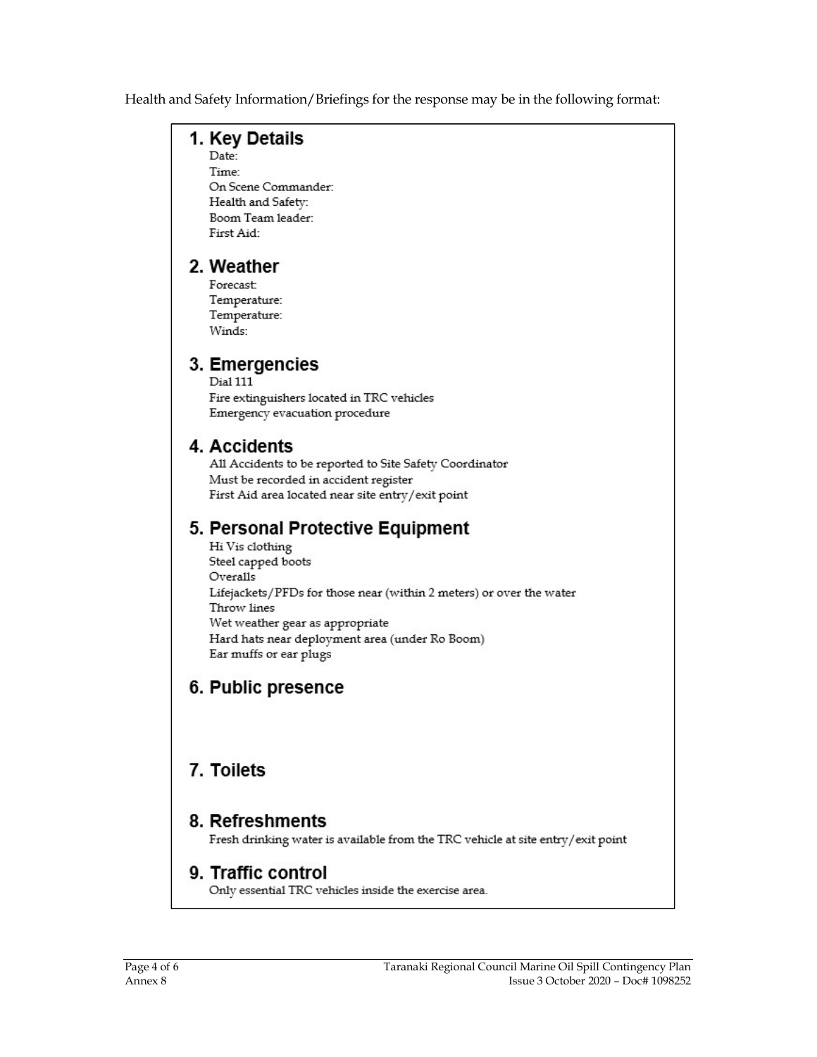Health and Safety Information/Briefings for the response may be in the following format:

### 1. Key Details

Date:

Time: On Scene Commander: Health and Safety: Boom Team leader: First Aid:

## 2. Weather

Forecast: Temperature: Temperature: Winds:

## 3. Emergencies

Dial 111 Fire extinguishers located in TRC vehicles Emergency evacuation procedure

## 4. Accidents

All Accidents to be reported to Site Safety Coordinator Must be recorded in accident register First Aid area located near site entry/exit point

## 5. Personal Protective Equipment

Hi Vis clothing Steel capped boots Overalls Lifejackets/PFDs for those near (within 2 meters) or over the water Throw lines Wet weather gear as appropriate Hard hats near deployment area (under Ro Boom) Ear muffs or ear plugs

## 6. Public presence

## 7. Toilets

## 8. Refreshments

Fresh drinking water is available from the TRC vehicle at site entry/exit point

## 9. Traffic control

Only essential TRC vehicles inside the exercise area.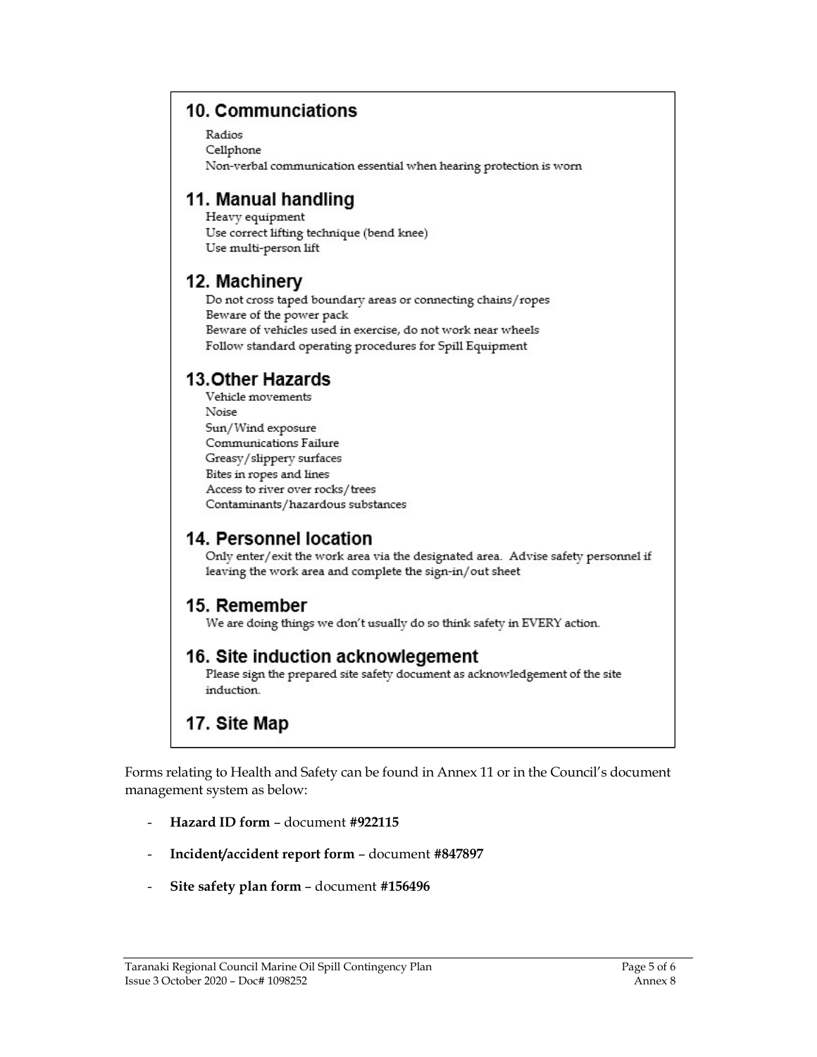## 10. Communciations

Radios Cellphone Non-verbal communication essential when hearing protection is worn

## 11. Manual handling

Heavy equipment Use correct lifting technique (bend knee) Use multi-person lift

## 12. Machinery

Do not cross taped boundary areas or connecting chains/ropes Beware of the power pack Beware of vehicles used in exercise, do not work near wheels Follow standard operating procedures for Spill Equipment

## **13.Other Hazards**

Vehicle movements Noise Sun/Wind exposure Communications Failure Greasy/slippery surfaces Bites in ropes and lines Access to river over rocks/trees Contaminants/hazardous substances

## 14. Personnel location

Only enter/exit the work area via the designated area. Advise safety personnel if leaving the work area and complete the sign-in/out sheet

## 15. Remember

We are doing things we don't usually do so think safety in EVERY action.

### 16. Site induction acknowlegement

Please sign the prepared site safety document as acknowledgement of the site induction.

## 17. Site Map

Forms relating to Health and Safety can be found in Annex 11 or in the Council's document management system as below:

- Hazard ID form document #922115
- Incident/accident report form document #847897
- Site safety plan form document #156496